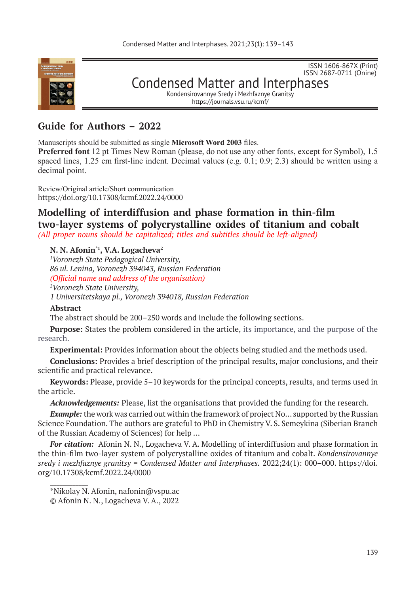

ISSN 2687-0711 (Onine) Condensed Matter and Interphases Kondensirovannye Sredy i Mezhfaznye Granitsy https://journals.vsu.ru/kcmf/

ISSN 1606-867Х (Print)

# **Guide for Authors – 2022**

Manuscripts should be submitted as single **Microsoft Word 2003** files.

**Preferred font** 12 pt Times New Roman (please, do not use any other fonts, except for Symbol), 1.5 spaced lines, 1.25 cm first-line indent. Decimal values (e.g. 0.1; 0.9; 2.3) should be written using a decimal point.

Review/Original article/Short communication https://doi.org/10.17308/kcmf.2022.24/0000

# **Modelling of interdiffusion and phase formation in thin-film two‑layer systems of polycrystalline oxides of titanium and cobalt**  *(All proper nouns should be capitalized; titles and subtitles should be left-aligned)*

# **N. N. Afonin\*1 , V.A. Logacheva<sup>2</sup>**

*1 Voronezh State Pedagogical University, 86 ul. Lenina, Voronezh 394043, Russian Federation (Official name and address of the organisation) 2 Voronezh State University, 1 Universitetskaya pl., Voronezh 394018, Russian Federation*

## **Abstract**

 $\mathcal{L}=\mathcal{L}$ 

The abstract should be 200–250 words and include the following sections.

**Purpose:** States the problem considered in the article, its importance, and the purpose of the research.

**Experimental:** Provides information about the objects being studied and the methods used.

**Conclusions:** Provides a brief description of the principal results, major conclusions, and their scientific and practical relevance.

**Keywords:** Please, provide 5–10 keywords for the principal concepts, results, and terms used in the article.

*Acknowledgements:* Please, list the organisations that provided the funding for the research.

*Example:* the work was carried out within the framework of project No... supported by the Russian Scienсe Foundation. The authors are grateful to PhD in Chemistry V. S. Semeykina (Siberian Branch of the Russian Academy of Sciences) for help …

*For citation:* Afonin N. N., Logacheva V. A. Modelling of interdiffusion and phase formation in the thin-film two-layer system of polycrystalline oxides of titanium and cobalt. *Kondensirovannye sredy i mezhfaznye granitsy = Condensed Matter and Interphases.* 2022;24(1): 000–000. https://doi. org/10.17308/kcmf.2022.24/0000

<sup>\*</sup>Nikolay N. Afonin, nafonin@vspu.ac © Afonin N. N., Logacheva V. A., 2022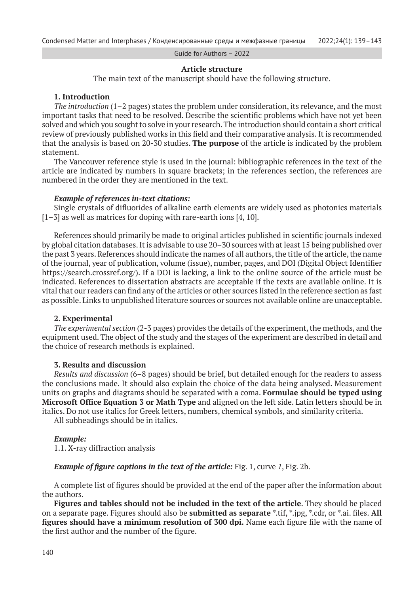Guide for Authors – 2022

### **Article structure**

The main text of the manuscript should have the following structure.

## **1. Introduction**

*The introduction* (1–2 pages) states the problem under consideration, its relevance, and the most important tasks that need to be resolved. Describe the scientific problems which have not yet been solved and which you sought to solve in your research. The introduction should contain a short critical review of previously published works in this field and their comparative analysis. It is recommended that the analysis is based on 20-30 studies. **The purpose** of the article is indicated by the problem statement.

The Vancouver reference style is used in the journal: bibliographic references in the text of the article are indicated by numbers in square brackets; in the references section, the references are numbered in the order they are mentioned in the text.

#### *Example of references in-text citations:*

Single crystals of difluorides of alkaline earth elements are widely used as photonics materials [1–3] as well as matrices for doping with rare-earth ions [4, 10].

References should primarily be made to original articles published in scientific journals indexed by global citation databases. It is advisable to use 20–30 sources with at least 15 being published over the past 3 years. References should indicate the names of all authors, the title of the article, the name of the journal, year of publication, volume (issue), number, pages, and DOI (Digital Object Identifier https://search.crossref.org/). If a DOI is lacking, a link to the online source of the article must be indicated. References to dissertation abstracts are acceptable if the texts are available online. It is vital that our readers can find any of the articles or other sources listed in the reference section as fast as possible. Links to unpublished literature sources or sources not available online are unacceptable.

#### **2. Experimental**

*The experimental section* (2-3 pages) provides the details of the experiment, the methods, and the equipment used. The object of the study and the stages of the experiment are described in detail and the choice of research methods is explained.

#### **3. Results and discussion**

*Results and discussion* (6–8 pages) should be brief, but detailed enough for the readers to assess the conclusions made. It should also explain the choice of the data being analysed. Measurement units on graphs and diagrams should be separated with a coma. **Formulae should be typed using Microsoft Office Equation 3 or Math Type** and aligned on the left side. Latin letters should be in italics. Do not use italics for Greek letters, numbers, chemical symbols, and similarity criteria. All subheadings should be in italics.

#### *Example:*

1.1. X-ray diffraction analysis

*Example of figure captions in the text of the article:* Fig. 1, curve *1*, Fig. 2b.

A complete list of figures should be provided at the end of the paper after the information about the authors.

**Figures and tables should not be included in the text of the article**. They should be placed on a separate page. Figures should also be **submitted as separate** \*.tif, \*.jpg, \*.cdr, or \*.ai. files. **All figures should have a minimum resolution of 300 dpi.** Name each figure file with the name of the first author and the number of the figure.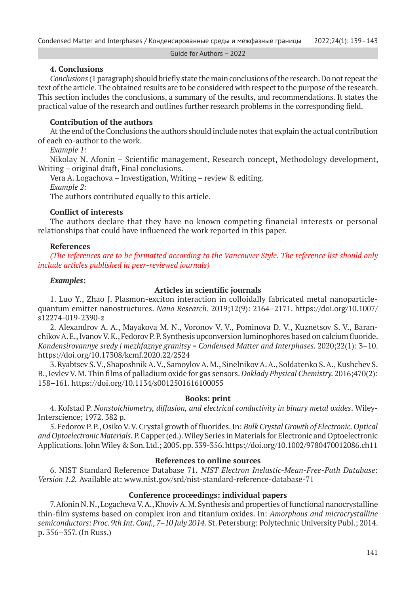Guide for Authors – 2022

## **4. Conclusions**

*Conclusions* (1 paragraph) should briefly state the main conclusions of the research. Do not repeat the text of the article. The obtained results are to be considered with respect to the purpose of the research. This section includes the conclusions, a summary of the results, and recommendations. It states the practical value of the research and outlines further research problems in the corresponding field.

## **Contribution of the authors**

At the end of the Conclusions the authors should include notes that explain the actual contribution of each co-author to the work.

*Example 1:*

Nikolay N. Afonin – Scientific management, Research concept, Methodology development, Writing – original draft, Final conclusions.

Vera A. Logachova – Investigation, Writing – review & editing. *Example 2:* The authors contributed equally to this article.

# **Conflict of interests**

The authors declare that they have no known competing financial interests or personal relationships that could have influenced the work reported in this paper.

## **References**

*(The references are to be formatted according to the Vancouver Style. The reference list should only include articles published in peer-reviewed journals)*

### *Examples***:**

## **Articles in scientific journals**

1. Luo Y., Zhao J. Plasmon-exciton interaction in colloidally fabricated metal nanoparticlequantum emitter nanostructures. *Nano Research*. 2019;12(9): 2164–2171. https://doi.org/10.1007/ s12274-019-2390-z

2. Alexandrov A. A., Mayakova M. N., Voronov V. V., Pominova D. V., Kuznetsov S. V., Baranchikov A. E., Ivanov V. K., Fedorov P. P. Synthesis upconversion luminophores based on calcium fluoride. *Kondensirovannye sredy i mezhfaznye granitsy = Condensed Matter and Interphases.* 2020;22(1): 3–10. https://doi.org/10.17308/kcmf.2020.22/2524

3. Ryabtsev S. V., Shaposhnik A. V., Samoylov A. M., Sinelnikov A. A., Soldatenko S. A., Kushchev S. B., Ievlev V. M. Thin films of palladium oxide for gas sensors. *Doklady Physical Chemistry.* 2016;470(2): 158–161. https://doi.org/10.1134/s0012501616100055

## **Books: print**

4. Kofstad P. *Nonstoichiometry, diffusion, and electrical conductivity in binary metal oxides*. Wiley-Interscience; 1972. 382 p.

5. Fedorov P. P., Osiko V. V. Crystal growth of fluorides. In: *Bulk Crystal Growth of Electronic. Optical and Optoelectronic Materials.* P. Capper (ed.). Wiley Series in Materials for Electronic and Optoelectronic Applications. John Wiley & Son. Ltd.; 2005. pp. 339-356. https://doi.org/10.1002/9780470012086.ch11

### **References to online sources**

6. NIST Standard Reference Database 71*. NIST Electron Inelastic-Mean-Free-Path Database: Version 1.2.* Available at: www.nist.gov/srd/nist-standard-reference-database-71

# **Conference proceedings: individual papers**

7. Afonin N. N., Logacheva V. A., Khoviv A. M. Synthesis and properties of functional nanocrystalline thin-film systems based on complex iron and titanium oxides. In: *Amorphous and microcrystalline semiconductors: Proc. 9th Int. Conf., 7–10 July 2014.* St. Petersburg: Polytechnic University Publ.; 2014. p. 356–357. (In Russ.)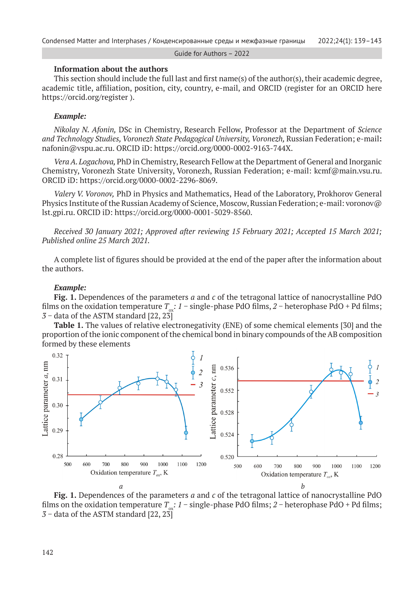Guide for Authors – 2022

#### **Information about the authors**

This section should include the full last and first name(s) of the author(s), their academic degree, academic title, affiliation, position, city, country, e-mail, and ORCID (register for an ORCID here https://orcid.org/register ).

## *Example:*

*Nikolay N. Afonin,* DSc in Chemistry, Research Fellow, Professor at the Department of *Science and Technology Studies, Voronezh State Pedagogical University, Voronezh,* Russian Federation; e-mail**:**  nafonin@vspu.ac.ru. ORCID iD: https://orcid.org/0000-0002-9163-744X.

*Vera A. Logachova,* PhD in Chemistry, Research Fellow at the Department of General and Inorganic Chemistry, Voronezh State University, Voronezh, Russian Federation; e-mail: kcmf@main.vsu.ru. ORCID iD: https://orcid.org/0000-0002-2296-8069.

*Valery V. Voronov,* PhD in Physics and Mathematics, Head of the Laboratory, Prokhorov General Physics Institute of the Russian Academy of Science, Moscow, Russian Federation; e-mail: voronov@ lst.gpi.ru. ORCID iD: https://orcid.org/0000-0001-5029-8560.

*Received 30 January 2021; Approved after reviewing 15 February 2021; Accepted 15 March 2021; Published online 25 March 2021.*

A complete list of figures should be provided at the end of the paper after the information about the authors.

#### *Example:*

**Fig. 1.** Dependences of the parameters *a* and *c* of the tetragonal lattice of nanocrystalline PdO films on the oxidation temperature  $T_{\infty}$ :  $1 -$  single-phase PdO films,  $2 -$  heterophase PdO + Pd films; *3* − data of the ASTM standard [22, 23]

**Table 1.** The values of relative electronegativity (ENE) of some chemical elements [30] and the proportion of the ionic component of the chemical bond in binary compounds of the AB composition formed by these elements



**Fig. 1.** Dependences of the parameters *a* and *c* of the tetragonal lattice of nanocrystalline PdO films on the oxidation temperature *T*<sub>∞</sub>: *1* − single-phase PdO films; *2* − heterophase PdO + Pd films; *3* − data of the ASTM standard [22, 23]